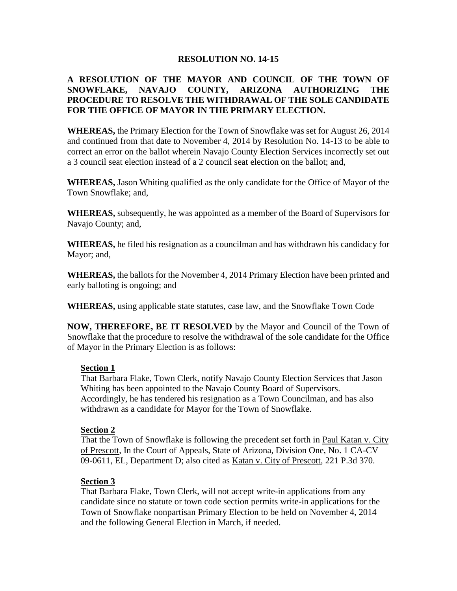### **RESOLUTION NO. 14-15**

# **A RESOLUTION OF THE MAYOR AND COUNCIL OF THE TOWN OF SNOWFLAKE, NAVAJO COUNTY, ARIZONA AUTHORIZING THE PROCEDURE TO RESOLVE THE WITHDRAWAL OF THE SOLE CANDIDATE FOR THE OFFICE OF MAYOR IN THE PRIMARY ELECTION.**

**WHEREAS,** the Primary Election for the Town of Snowflake was set for August 26, 2014 and continued from that date to November 4, 2014 by Resolution No. 14-13 to be able to correct an error on the ballot wherein Navajo County Election Services incorrectly set out a 3 council seat election instead of a 2 council seat election on the ballot; and,

**WHEREAS,** Jason Whiting qualified as the only candidate for the Office of Mayor of the Town Snowflake; and,

**WHEREAS,** subsequently, he was appointed as a member of the Board of Supervisors for Navajo County; and,

**WHEREAS,** he filed his resignation as a councilman and has withdrawn his candidacy for Mayor; and,

**WHEREAS,** the ballots for the November 4, 2014 Primary Election have been printed and early balloting is ongoing; and

**WHEREAS,** using applicable state statutes, case law, and the Snowflake Town Code

**NOW, THEREFORE, BE IT RESOLVED** by the Mayor and Council of the Town of Snowflake that the procedure to resolve the withdrawal of the sole candidate for the Office of Mayor in the Primary Election is as follows:

### **Section 1**

That Barbara Flake, Town Clerk, notify Navajo County Election Services that Jason Whiting has been appointed to the Navajo County Board of Supervisors. Accordingly, he has tendered his resignation as a Town Councilman, and has also withdrawn as a candidate for Mayor for the Town of Snowflake.

### **Section 2**

That the Town of Snowflake is following the precedent set forth in Paul Katan v. City of Prescott, In the Court of Appeals, State of Arizona, Division One, No. 1 CA-CV 09-0611, EL, Department D; also cited as Katan v. City of Prescott, 221 P.3d 370.

### **Section 3**

That Barbara Flake, Town Clerk, will not accept write-in applications from any candidate since no statute or town code section permits write-in applications for the Town of Snowflake nonpartisan Primary Election to be held on November 4, 2014 and the following General Election in March, if needed.